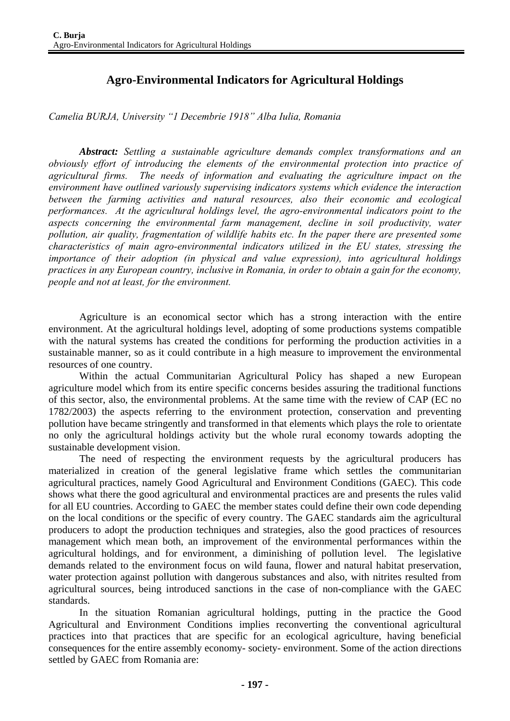## **Agro-Environmental Indicators for Agricultural Holdings**

*Camelia BURJA, University "1 Decembrie 1918" Alba Iulia, Romania* 

*Abstract: Settling a sustainable agriculture demands complex transformations and an obviously effort of introducing the elements of the environmental protection into practice of agricultural firms. The needs of information and evaluating the agriculture impact on the environment have outlined variously supervising indicators systems which evidence the interaction between the farming activities and natural resources, also their economic and ecological performances. At the agricultural holdings level, the agro-environmental indicators point to the aspects concerning the environmental farm management, decline in soil productivity, water pollution, air quality, fragmentation of wildlife habits etc. In the paper there are presented some characteristics of main agro-environmental indicators utilized in the EU states, stressing the importance of their adoption (in physical and value expression), into agricultural holdings practices in any European country, inclusive in Romania, in order to obtain a gain for the economy, people and not at least, for the environment.* 

Agriculture is an economical sector which has a strong interaction with the entire environment. At the agricultural holdings level, adopting of some productions systems compatible with the natural systems has created the conditions for performing the production activities in a sustainable manner, so as it could contribute in a high measure to improvement the environmental resources of one country.

 Within the actual Communitarian Agricultural Policy has shaped a new European agriculture model which from its entire specific concerns besides assuring the traditional functions of this sector, also, the environmental problems. At the same time with the review of CAP (EC no 1782/2003) the aspects referring to the environment protection, conservation and preventing pollution have became stringently and transformed in that elements which plays the role to orientate no only the agricultural holdings activity but the whole rural economy towards adopting the sustainable development vision.

 The need of respecting the environment requests by the agricultural producers has materialized in creation of the general legislative frame which settles the communitarian agricultural practices, namely Good Agricultural and Environment Conditions (GAEC). This code shows what there the good agricultural and environmental practices are and presents the rules valid for all EU countries. According to GAEC the member states could define their own code depending on the local conditions or the specific of every country. The GAEC standards aim the agricultural producers to adopt the production techniques and strategies, also the good practices of resources management which mean both, an improvement of the environmental performances within the agricultural holdings, and for environment, a diminishing of pollution level. The legislative demands related to the environment focus on wild fauna, flower and natural habitat preservation, water protection against pollution with dangerous substances and also, with nitrites resulted from agricultural sources, being introduced sanctions in the case of non-compliance with the GAEC standards.

 In the situation Romanian agricultural holdings, putting in the practice the Good Agricultural and Environment Conditions implies reconverting the conventional agricultural practices into that practices that are specific for an ecological agriculture, having beneficial consequences for the entire assembly economy- society- environment. Some of the action directions settled by GAEC from Romania are: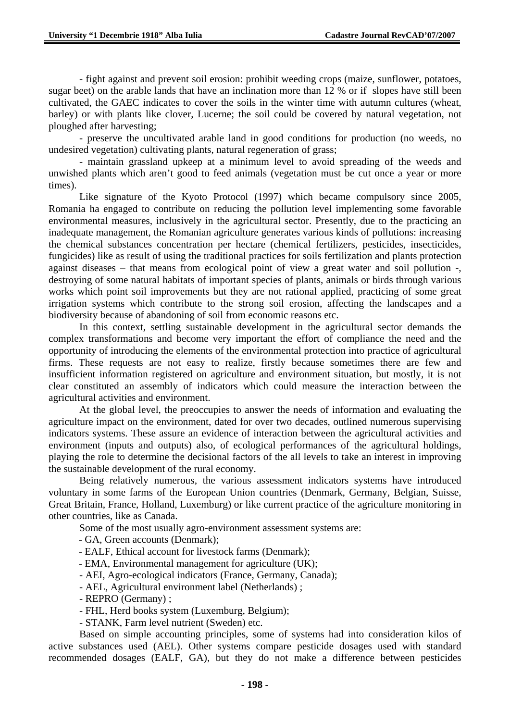- fight against and prevent soil erosion: prohibit weeding crops (maize, sunflower, potatoes, sugar beet) on the arable lands that have an inclination more than 12 % or if slopes have still been cultivated, the GAEC indicates to cover the soils in the winter time with autumn cultures (wheat, barley) or with plants like clover, Lucerne; the soil could be covered by natural vegetation, not ploughed after harvesting;

- preserve the uncultivated arable land in good conditions for production (no weeds, no undesired vegetation) cultivating plants, natural regeneration of grass;

- maintain grassland upkeep at a minimum level to avoid spreading of the weeds and unwished plants which aren't good to feed animals (vegetation must be cut once a year or more times).

 Like signature of the Kyoto Protocol (1997) which became compulsory since 2005, Romania ha engaged to contribute on reducing the pollution level implementing some favorable environmental measures, inclusively in the agricultural sector. Presently, due to the practicing an inadequate management, the Romanian agriculture generates various kinds of pollutions: increasing the chemical substances concentration per hectare (chemical fertilizers, pesticides, insecticides, fungicides) like as result of using the traditional practices for soils fertilization and plants protection against diseases – that means from ecological point of view a great water and soil pollution -, destroying of some natural habitats of important species of plants, animals or birds through various works which point soil improvements but they are not rational applied, practicing of some great irrigation systems which contribute to the strong soil erosion, affecting the landscapes and a biodiversity because of abandoning of soil from economic reasons etc.

 In this context, settling sustainable development in the agricultural sector demands the complex transformations and become very important the effort of compliance the need and the opportunity of introducing the elements of the environmental protection into practice of agricultural firms. These requests are not easy to realize, firstly because sometimes there are few and insufficient information registered on agriculture and environment situation, but mostly, it is not clear constituted an assembly of indicators which could measure the interaction between the agricultural activities and environment.

 At the global level, the preoccupies to answer the needs of information and evaluating the agriculture impact on the environment, dated for over two decades, outlined numerous supervising indicators systems. These assure an evidence of interaction between the agricultural activities and environment (inputs and outputs) also, of ecological performances of the agricultural holdings, playing the role to determine the decisional factors of the all levels to take an interest in improving the sustainable development of the rural economy.

 Being relatively numerous, the various assessment indicators systems have introduced voluntary in some farms of the European Union countries (Denmark, Germany, Belgian, Suisse, Great Britain, France, Holland, Luxemburg) or like current practice of the agriculture monitoring in other countries, like as Canada.

Some of the most usually agro-environment assessment systems are:

- GA, Green accounts (Denmark);

- EALF, Ethical account for livestock farms (Denmark);
- EMA, Environmental management for agriculture (UK);

- AEI, Agro-ecological indicators (France, Germany, Canada);

- AEL, Agricultural environment label (Netherlands) ;
- REPRO (Germany) ;
- FHL, Herd books system (Luxemburg, Belgium);

- STANK, Farm level nutrient (Sweden) etc.

Based on simple accounting principles, some of systems had into consideration kilos of active substances used (AEL). Other systems compare pesticide dosages used with standard recommended dosages (EALF, GA), but they do not make a difference between pesticides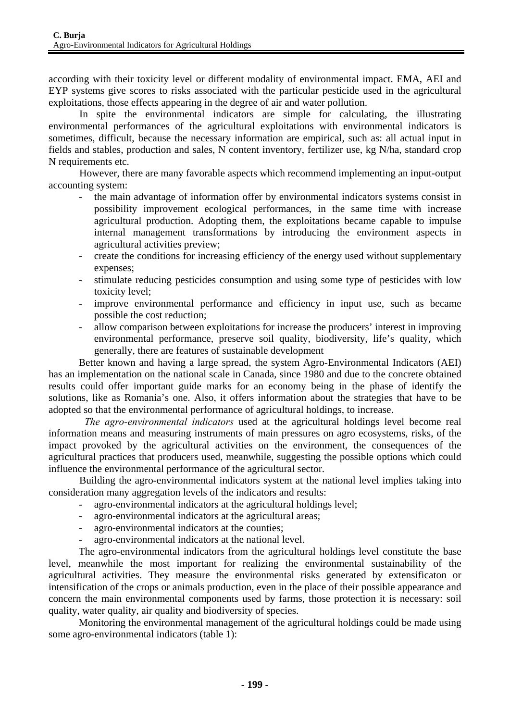according with their toxicity level or different modality of environmental impact. EMA, AEI and EYP systems give scores to risks associated with the particular pesticide used in the agricultural exploitations, those effects appearing in the degree of air and water pollution.

 In spite the environmental indicators are simple for calculating, the illustrating environmental performances of the agricultural exploitations with environmental indicators is sometimes, difficult, because the necessary information are empirical, such as: all actual input in fields and stables, production and sales, N content inventory, fertilizer use, kg N/ha, standard crop N requirements etc.

 However, there are many favorable aspects which recommend implementing an input-output accounting system:

- the main advantage of information offer by environmental indicators systems consist in possibility improvement ecological performances, in the same time with increase agricultural production. Adopting them, the exploitations became capable to impulse internal management transformations by introducing the environment aspects in agricultural activities preview;
- create the conditions for increasing efficiency of the energy used without supplementary expenses;
- stimulate reducing pesticides consumption and using some type of pesticides with low toxicity level;
- improve environmental performance and efficiency in input use, such as became possible the cost reduction;
- allow comparison between exploitations for increase the producers' interest in improving environmental performance, preserve soil quality, biodiversity, life's quality, which generally, there are features of sustainable development

Better known and having a large spread, the system Agro-Environmental Indicators (AEI) has an implementation on the national scale in Canada, since 1980 and due to the concrete obtained results could offer important guide marks for an economy being in the phase of identify the solutions, like as Romania's one. Also, it offers information about the strategies that have to be adopted so that the environmental performance of agricultural holdings, to increase.

 *The agro-environmental indicators* used at the agricultural holdings level become real information means and measuring instruments of main pressures on agro ecosystems, risks, of the impact provoked by the agricultural activities on the environment, the consequences of the agricultural practices that producers used, meanwhile, suggesting the possible options which could influence the environmental performance of the agricultural sector.

 Building the agro-environmental indicators system at the national level implies taking into consideration many aggregation levels of the indicators and results:

- agro-environmental indicators at the agricultural holdings level:
- agro-environmental indicators at the agricultural areas;
- agro-environmental indicators at the counties;
- agro-environmental indicators at the national level.

The agro-environmental indicators from the agricultural holdings level constitute the base level, meanwhile the most important for realizing the environmental sustainability of the agricultural activities. They measure the environmental risks generated by extensificaton or intensification of the crops or animals production, even in the place of their possible appearance and concern the main environmental components used by farms, those protection it is necessary: soil quality, water quality, air quality and biodiversity of species.

Monitoring the environmental management of the agricultural holdings could be made using some agro-environmental indicators (table 1):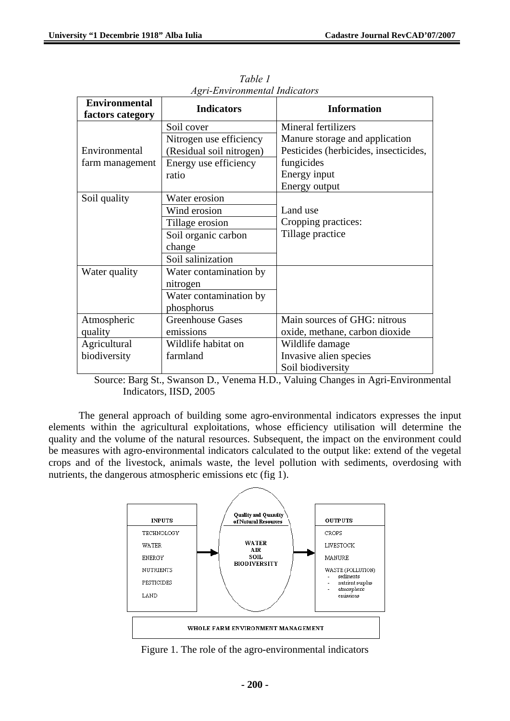| <b>Environmental</b> | <b>Indicators</b>        | <b>Information</b>                    |
|----------------------|--------------------------|---------------------------------------|
| factors category     |                          |                                       |
|                      | Soil cover               | <b>Mineral fertilizers</b>            |
|                      | Nitrogen use efficiency  | Manure storage and application        |
| Environmental        | (Residual soil nitrogen) | Pesticides (herbicides, insecticides, |
| farm management      | Energy use efficiency    | fungicides                            |
|                      | ratio                    | Energy input                          |
|                      |                          | Energy output                         |
| Soil quality         | Water erosion            |                                       |
|                      | Wind erosion             | Land use                              |
|                      | Tillage erosion          | Cropping practices:                   |
|                      | Soil organic carbon      | Tillage practice                      |
|                      | change                   |                                       |
|                      | Soil salinization        |                                       |
| Water quality        | Water contamination by   |                                       |
|                      | nitrogen                 |                                       |
|                      | Water contamination by   |                                       |
|                      | phosphorus               |                                       |
| Atmospheric          | <b>Greenhouse Gases</b>  | Main sources of GHG: nitrous          |
| quality              | emissions                | oxide, methane, carbon dioxide        |
| Agricultural         | Wildlife habitat on      | Wildlife damage                       |
| biodiversity         | farmland                 | Invasive alien species                |
|                      |                          | Soil biodiversity                     |

*Table 1 Agri-Environmental Indicators* 

 Source: Barg St., Swanson D., Venema H.D., Valuing Changes in Agri-Environmental Indicators, IISD, 2005

The general approach of building some agro-environmental indicators expresses the input elements within the agricultural exploitations, whose efficiency utilisation will determine the quality and the volume of the natural resources. Subsequent, the impact on the environment could be measures with agro-environmental indicators calculated to the output like: extend of the vegetal crops and of the livestock, animals waste, the level pollution with sediments, overdosing with nutrients, the dangerous atmospheric emissions etc (fig 1).



Figure 1. The role of the agro-environmental indicators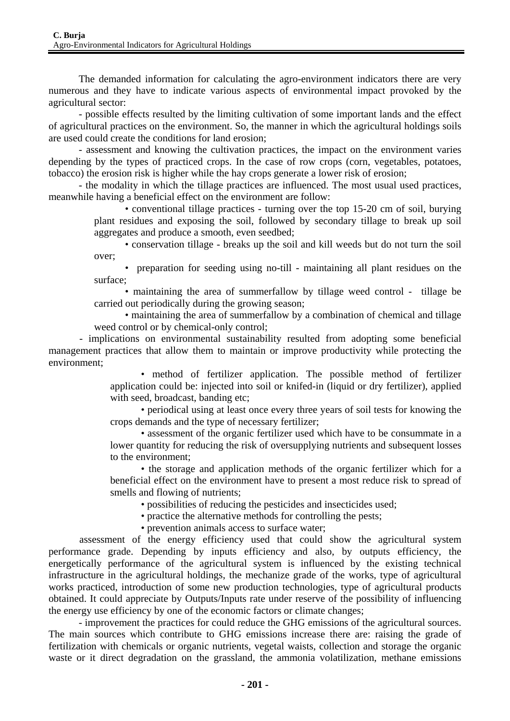The demanded information for calculating the agro-environment indicators there are very numerous and they have to indicate various aspects of environmental impact provoked by the agricultural sector:

- possible effects resulted by the limiting cultivation of some important lands and the effect of agricultural practices on the environment. So, the manner in which the agricultural holdings soils are used could create the conditions for land erosion;

- assessment and knowing the cultivation practices, the impact on the environment varies depending by the types of practiced crops. In the case of row crops (corn, vegetables, potatoes, tobacco) the erosion risk is higher while the hay crops generate a lower risk of erosion;

- the modality in which the tillage practices are influenced. The most usual used practices, meanwhile having a beneficial effect on the environment are follow:

> • conventional tillage practices - turning over the top 15-20 cm of soil, burying plant residues and exposing the soil, followed by secondary tillage to break up soil aggregates and produce a smooth, even seedbed;

> • conservation tillage - breaks up the soil and kill weeds but do not turn the soil over;

> • preparation for seeding using no-till - maintaining all plant residues on the surface;

> • maintaining the area of summerfallow by tillage weed control - tillage be carried out periodically during the growing season;

> • maintaining the area of summerfallow by a combination of chemical and tillage weed control or by chemical-only control;

- implications on environmental sustainability resulted from adopting some beneficial management practices that allow them to maintain or improve productivity while protecting the environment;

• method of fertilizer application. The possible method of fertilizer application could be: injected into soil or knifed-in (liquid or dry fertilizer), applied with seed, broadcast, banding etc;

• periodical using at least once every three years of soil tests for knowing the crops demands and the type of necessary fertilizer;

• assessment of the organic fertilizer used which have to be consummate in a lower quantity for reducing the risk of oversupplying nutrients and subsequent losses to the environment;

• the storage and application methods of the organic fertilizer which for a beneficial effect on the environment have to present a most reduce risk to spread of smells and flowing of nutrients;

• possibilities of reducing the pesticides and insecticides used;

• practice the alternative methods for controlling the pests;

• prevention animals access to surface water;

 assessment of the energy efficiency used that could show the agricultural system performance grade. Depending by inputs efficiency and also, by outputs efficiency, the energetically performance of the agricultural system is influenced by the existing technical infrastructure in the agricultural holdings, the mechanize grade of the works, type of agricultural works practiced, introduction of some new production technologies, type of agricultural products obtained. It could appreciate by Outputs/Inputs rate under reserve of the possibility of influencing the energy use efficiency by one of the economic factors or climate changes;

- improvement the practices for could reduce the GHG emissions of the agricultural sources. The main sources which contribute to GHG emissions increase there are: raising the grade of fertilization with chemicals or organic nutrients, vegetal waists, collection and storage the organic waste or it direct degradation on the grassland, the ammonia volatilization, methane emissions